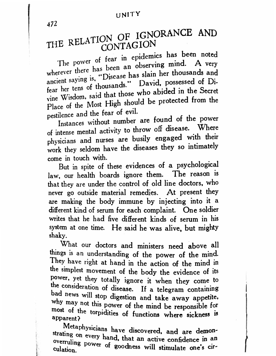## UNITY

472

# THE RELATION OF IGNORANCE AND CONTAGION

The power of fear in epidemics has been noted wherever there has been an observing mind. A very ancient saying is, "Disease has slain her thousands and fear her tens of thousands." David, possessed of Divine Wisdom, said that those who abided in the Secret Place of the Most High should be protected from the pestilence and the fear of evil.

Instances without number are found of the power of intense mental activity to throw off disease. Where physicians and nurses are busily engaged with their work they seldom have the diseases they so intimately come in touch with.

But in spite of these evidences of a psychological law, our health boards ignore them. The reason is that they are under the control of old line doctors, who never go outside material remedies. At present they are making the body immune by injecting into it a different kind of serum for each complaint. One soldier writes that he had five different kinds of serum in his system at one time. He said he was alive, but mighty shaky.

What our doctors and ministers need above all things is an understanding of the power of the mind. They have right at hand in the action of the mind in the simplest movement of the body the evidence of its power, yet they totally ignore it when they come to the consideration of disease. If a telegram containing bad news will stop digestion and take away appetite. why may not this power of the mind be responsible for most of the torpidities of functions where sickness is apparent?

Metaphysicians have discovered, and are demonstrating on every hand, that an active confidence in an overruling power of goodness will stimulate one's cir-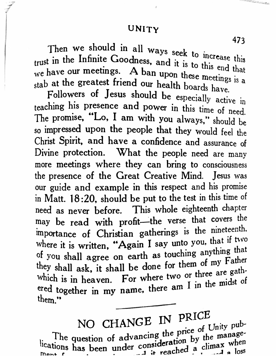## UNITY

Then we should in all ways seek to increase this trust in the Infinite Goodness, and it is to this end that we have our meetings. A ban upon these meetings is a stab at the greatest friend our health boards have.

Followers of Jesus should be especially active in teaching his presence and power in this time of need. The promise, "Lo, I am with you always," should be so impressed upon the people that they would feel the Christ Spirit, and have a confidence and assurance of Divine protection. What the people need are many more meetings where they can bring to consciousness the presence of the Great Creative Mind. Jesus was our guide and example in this respect and his promise in Matt. 18:20, should be put to the test in this time of need as never before. This whole eighteenth chapter may be read with profit-the verse that covers the importance of Christian gatherings is the nineteenth. where it is written, "Again I say unto you, that if two of you shall agree on earth as touching anything that they shall ask, it shall be done for them of my Father which is in heaven. For where two or three are gathered together in my name, there am I in the midst of them."

NO CHANGE IN PRICE The question of advancing the price of Unity pub-<br>tions 1 lications has been under consideration by the manage-

473